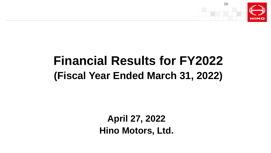

# **Financial Results for FY2022 (Fiscal Year Ended March 31, 2022)**

**April 27, 2022 Hino Motors, Ltd.**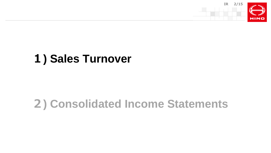

# **) Sales Turnover**

# **) Consolidated Income Statements**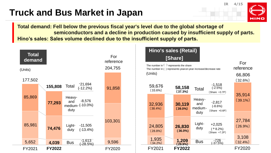# **Truck and Bus Market in Japan**





**Total demand: Fell below the previous fiscal year's level due to the global shortage of semiconductors and a decline in production caused by insufficient supply of parts. Hino's sales: Sales volume declined due to the insufficient supply of parts.**

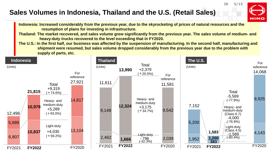### **Sales Volumes in Indonesia, Thailand and the U.S. (Retail Sales)**



**IR 5/15**

**Indonesia: Increased considerably from the previous year, due to the skyrocketing of prices of natural resources and the resumption of plans for investing in infrastructure.**

**Thailand: The market recovered, and sales volume grew significantly from the previous year. The sales volume of medium- and heavy-duty trucks recovered to the level exceeding that in FY2020.** 

**The U.S.: In the first half, our business was affected by the suspension of manufacturing. In the second half, manufacturing and shipment were resumed, but sales volume dropped considerably from the previous year due to the problem with supply of parts, etc.**

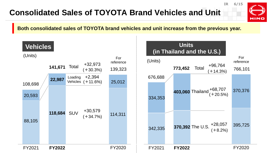## **Consolidated Sales of TOYOTA Brand Vehicles and Unit**



**IR 6/15**

**Both consolidated sales of TOYOTA brand vehicles and unit increase from the previous year.**

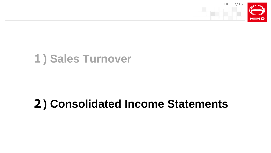

# **) Sales Turnover**

# **) Consolidated Income Statements**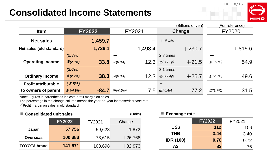## **Consolidated Income Statements**



|                            |                              |                              | (Billions of yen)                | (For reference)    |  |
|----------------------------|------------------------------|------------------------------|----------------------------------|--------------------|--|
| <b>Item</b>                | <b>FY2022</b>                | FY2021                       | Change                           | <b>FY2020</b>      |  |
| <b>Net sales</b>           | 1,459.7                      |                              | $+15.4%$                         |                    |  |
| Net sales (old standard)   | 1,729.1                      | 1,498.4                      | $+230.7$                         | 1,815.6            |  |
|                            | (2.3%)                       |                              | 2.8 times                        |                    |  |
| <b>Operating income</b>    | 33.8<br>$\frac{1}{2}(2.0\%)$ | 12.3<br>$\frac{1}{2}(0.8\%)$ | $+21.5$<br>$X(+1.2p)$            | 54.9<br>$X(3.0\%)$ |  |
|                            | (2.6%)                       |                              | 3.1 times                        |                    |  |
| <b>Ordinary income</b>     | 38.0<br>$\frac{1}{2}(2.2\%)$ | 12.3<br>$\frac{1}{2}(0.8\%)$ | $+25.7$<br>$X(+1.4p)$            | 49.6<br>X(2.7%)    |  |
| <b>Profit attributable</b> | $(-5.8%)$                    |                              |                                  |                    |  |
| to owners of parent        | $X(-4.9%)$<br>$-84.7$        | $X(-0.5%)$                   | $-77.2$<br>$-7.5 \times (-4.4p)$ | 31.5<br>X(1.7%)    |  |

Note: Figures in parentheses indicate profit margin on sales.

The percentage in the change column means the year-on-year increase/decrease rate.

※Profit margin on sales in old standard

| ■ Consolidated unit sales<br>(Units) |               |         |           |  |  |
|--------------------------------------|---------------|---------|-----------|--|--|
|                                      | <b>FY2022</b> | FY2021  | Change    |  |  |
| Japan                                | 57,756        | 59,628  | $-1,872$  |  |  |
| <b>Overseas</b>                      | 100,383       | 73,615  | $+26,768$ |  |  |
| <b>TOYOTA</b> brand                  | 141,671       | 108,698 | $+32,973$ |  |  |

#### **■ Exchange rate**

|                  | <b>FY2022</b> | FY2021 |
|------------------|---------------|--------|
| US\$             | 112           | 106    |
| <b>THB</b>       | 3.44          | 3.40   |
| <b>IDR (100)</b> | 0.78          | 0.72   |
| A\$              | 83            | 76     |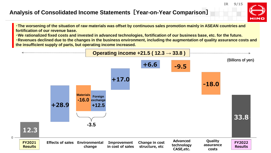### **Analysis of Consolidated Income Statements[Year-on-Year Comparison]**

**IR 9/15**

HINO

**・The worsening of the situation of raw materials was offset by continuous sales promotion mainly in ASEAN countries and fortification of our revenue base.**

**・We rationalized fixed costs and invested in advanced technologies, fortification of our business base, etc. for the future.**

**・Revenues declined due to the changes in the business environment, including the augmentation of quality assurance costs and the insufficient supply of parts, but operating income increased.**

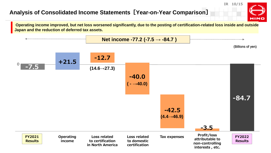### **Analysis of Consolidated Income Statements[Year-on-Year Comparison]**

**IR 10/15**



**Operating income improved, but net loss worsened significantly, due to the posting of certification-related loss inside and outside Japan and the reduction of deferred tax assets.**

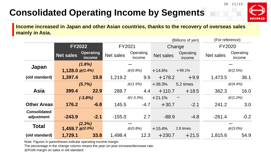# **Consolidated Operating Income by Segments**



**Income increased in Japan and other Asian countries, thanks to the recovery of overseas sales mainly in Asia.**

|                                   |                          |                            |           |                       |                  | (Billions of yen)   | (For reference)  |                      |
|-----------------------------------|--------------------------|----------------------------|-----------|-----------------------|------------------|---------------------|------------------|----------------------|
|                                   | <b>FY2022</b>            |                            | FY2021    |                       |                  | Change              | <b>FY2020</b>    |                      |
|                                   | <b>Net sales</b>         | <b>Operating</b><br>income | Net sales | Operating<br>income   | <b>Net sales</b> | Operating<br>income | <b>Net sales</b> | Operating<br>income  |
| Japan                             | $(1.8\%)$                |                            |           |                       |                  |                     |                  |                      |
|                                   | $1,128.0 \times (1.4\%)$ |                            |           | $\frac{1}{2}(0.8\%)$  | $+14.6%$         | $+99.1%$            |                  | $\frac{1}{2}(2.5\%)$ |
| (old standard)                    | 1,397.4                  | <b>19.8</b>                | 1,219.2   | 9.9                   | $+178.2$         | $+9.9$              | 1,473.5          | 36.1                 |
|                                   | (5.7%)                   |                            |           | $\frac{1}{2}(1.5\%)$  | $+38.3%$         | 5.2 times           |                  | $\mathcal{K}(4.4\%)$ |
| <b>Asia</b>                       | 399.4                    | 22.9                       | 288.7     | 4.4                   | $+110.7$         | $+18.5$             | 362.3            | 16.0                 |
|                                   | $(-3.8%)$                |                            |           | $\frac{1}{2}(-3.3\%)$ | $+21.1%$         |                     |                  | $\frac{1}{2}(1.2\%)$ |
| <b>Other Areas</b>                | 176.2                    | $-6.8$                     | 145.5     | $-4.7$                | $+30.7$          | $-2.1$              | 241.2            | 3.0                  |
| <b>Consolidated</b><br>adjustment | $-243.9$                 | $-2.1$                     | $-155.0$  | 2.7                   | $-88.9$          | $-4.8$              | $-261.4$         | $-0.2$               |
| <b>Total</b>                      | (2.3%)                   |                            |           |                       |                  |                     |                  |                      |
|                                   | $1,459.7 \times (2.0\%)$ |                            |           | $\frac{1}{2}$ (0.8%)  | $+15.4%$         | 2.8 times           |                  | $\frac{1}{2}(3.0\%)$ |
| (old standard)                    | 1,729.1                  | 33.8                       | 1,498.4   | 12.3                  | $+230.7$         | $+21.5$             | 1,815.6          | 54.9                 |

Note: Figures in parentheses indicate operating income margin.

The percentage in the change column means the year-on-year increase/decrease rate.

※Profit margin on sales in old standard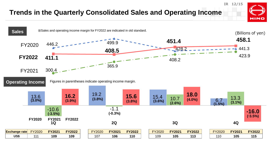### **Trends in the Quarterly Consolidated Sales and Operating Income**



**IR 12/15**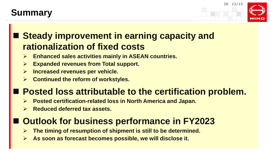# **Summary**



# **Steady improvement in earning capacity and rationalization of fixed costs**

- **Enhanced sales activities mainly in ASEAN countries.**
- **Expanded revenues from Total support.**
- **Increased revenues per vehicle.**
- **Continued the reform of workstyles.**

# ■ Posted loss attributable to the certification problem.

- **Posted certification-related loss in North America and Japan.**
- **Reduced deferred tax assets.**

# ■ Outlook for business performance in FY2023

- **The timing of resumption of shipment is still to be determined.**
- **As soon as forecast becomes possible, we will disclose it.**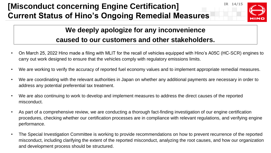## **IR IS A LOSE 20 IR 24/15 IR 14/15 IR 14/15 Current Status of Hino's Ongoing Remedial Measures**



## **We deeply apologize for any inconvenience caused to our customers and other stakeholders.**

- On March 25, 2022 Hino made a filing with MLIT for the recall of vehicles equipped with Hino's A05C (HC-SCR) engines to carry out work designed to ensure that the vehicles comply with regulatory emissions limits.
- We are working to verify the accuracy of reported fuel economy values and to implement appropriate remedial measures.
- We are coordinating with the relevant authorities in Japan on whether any additional payments are necessary in order to address any potential preferential tax treatment.
- We are also continuing to work to develop and implement measures to address the direct causes of the reported misconduct.
- As part of a comprehensive review, we are conducting a thorough fact-finding investigation of our engine certification procedures, checking whether our certification processes are in compliance with relevant regulations, and verifying engine performance.
- The Special Investigation Committee is working to provide recommendations on how to prevent recurrence of the reported misconduct, including clarifying the extent of the reported misconduct, analyzing the root causes, and how our organization and development process should be structured.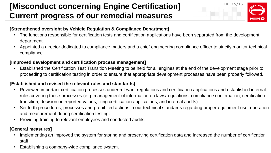## **IR ISON ENGINE CONCERTING Engine Certification] 18. 15/15 Current progress of our remedial measures**



### **[Strengthened oversight by Vehicle Regulation & Compliance Department]**

- The functions responsible for certification tests and certification applications have been separated from the development department.
- Appointed a director dedicated to compliance matters and a chief engineering compliance officer to strictly monitor technical compliance.

#### **[Improved development and certification process management]**

• Established the Certification Test Transition Meeting to be held for all engines at the end of the development stage prior to proceeding to certification testing in order to ensure that appropriate development processes have been properly followed.

### **[Established and revised the relevant rules and standards]**

- Reviewed important certification processes under relevant regulations and certification applications and established internal rules covering those processes (e.g. management of information on laws/regulations, compliance confirmation, certification transition, decision on reported values, filing certification applications, and internal audits).
- Set forth procedures, processes and prohibited actions in our technical standards regarding proper equipment use, operation and measurement during certification testing.
- Providing training to relevant employees and conducted audits.

#### **[General measures]**

- Implementing an improved the system for storing and preserving certification data and increased the number of certification staff.
- Establishing a company-wide compliance system.